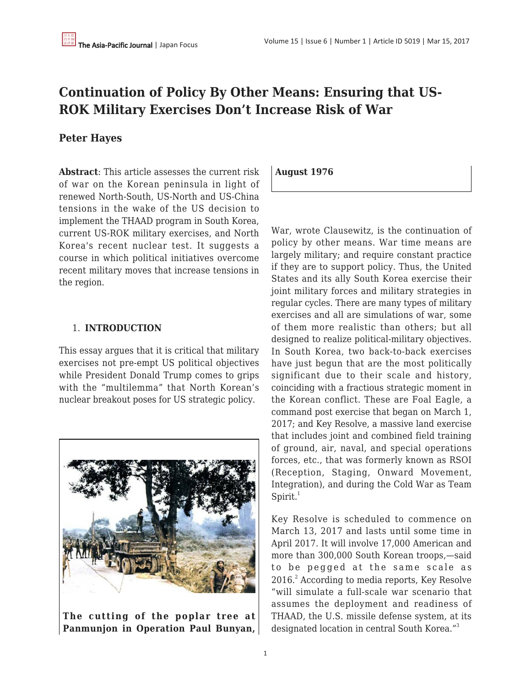## **Continuation of Policy By Other Means: Ensuring that US-ROK Military Exercises Don't Increase Risk of War**

## **Peter Hayes**

**Abstract**: This article assesses the current risk of war on the Korean peninsula in light of renewed North-South, US-North and US-China tensions in the wake of the US decision to implement the THAAD program in South Korea, current US-ROK military exercises, and North Korea's recent nuclear test. It suggests a course in which political initiatives overcome recent military moves that increase tensions in the region.

## 1. **INTRODUCTION**

This essay argues that it is critical that military exercises not pre-empt US political objectives while President Donald Trump comes to grips with the "multilemma" that North Korean's nuclear breakout poses for US strategic policy.



**The cutting of the poplar tree at Panmunjon in Operation Paul Bunyan,** **August 1976**

War, wrote Clausewitz, is the continuation of policy by other means. War time means are largely military; and require constant practice if they are to support policy. Thus, the United States and its ally South Korea exercise their joint military forces and military strategies in regular cycles. There are many types of military exercises and all are simulations of war, some of them more realistic than others; but all designed to realize political-military objectives. In South Korea, two back-to-back exercises have just begun that are the most politically significant due to their scale and history, coinciding with a fractious strategic moment in the Korean conflict. These are Foal Eagle, a command post exercise that began on March 1, 2017; and Key Resolve, a massive land exercise that includes joint and combined field training of ground, air, naval, and special operations forces, etc., that was formerly known as RSOI (Reception, Staging, Onward Movement, Integration), and during the Cold War as Team  $Spirit.<sup>1</sup>$ 

Key Resolve is scheduled to commence on March 13, 2017 and lasts until some time in April 2017. It will involve 17,000 American and more than 300,000 South Korean troops,—said to be pegged at the same scale as 2016.<sup>2</sup> According to media reports, Key Resolve "will simulate a full-scale war scenario that assumes the deployment and readiness of THAAD, the U.S. missile defense system, at its designated location in central South Korea."<sup>3</sup>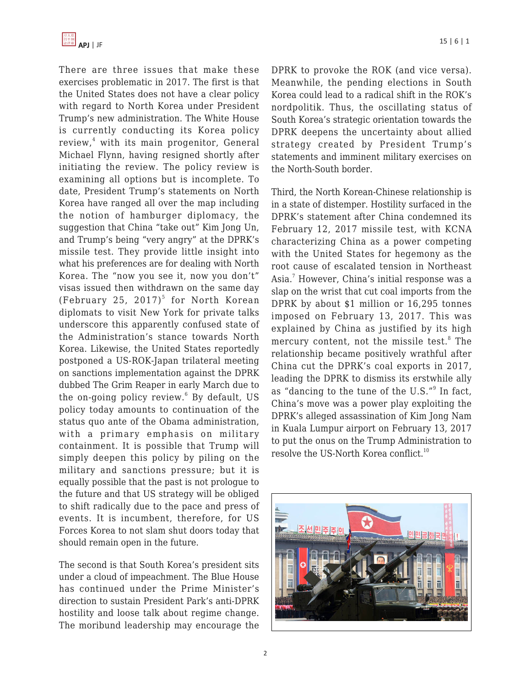

There are three issues that make these exercises problematic in 2017. The first is that the United States does not have a clear policy with regard to North Korea under President Trump's new administration. The White House is currently conducting its Korea policy review,<sup>4</sup> with its main progenitor, General Michael Flynn, having resigned shortly after initiating the review. The policy review is examining all options but is incomplete. To date, President Trump's statements on North Korea have ranged all over the map including the notion of hamburger diplomacy, the suggestion that China "take out" Kim Jong Un, and Trump's being "very angry" at the DPRK's missile test. They provide little insight into what his preferences are for dealing with North Korea. The "now you see it, now you don't" visas issued then withdrawn on the same day (February 25, 2017) $^5$  for North Korean diplomats to visit New York for private talks underscore this apparently confused state of the Administration's stance towards North Korea. Likewise, the United States reportedly postponed a US-ROK-Japan trilateral meeting on sanctions implementation against the DPRK dubbed The Grim Reaper in early March due to the on-going policy review.<sup>6</sup> By default, US policy today amounts to continuation of the status quo ante of the Obama administration, with a primary emphasis on military containment. It is possible that Trump will simply deepen this policy by piling on the military and sanctions pressure; but it is equally possible that the past is not prologue to the future and that US strategy will be obliged to shift radically due to the pace and press of events. It is incumbent, therefore, for US Forces Korea to not slam shut doors today that should remain open in the future.

The second is that South Korea's president sits under a cloud of impeachment. The Blue House has continued under the Prime Minister's direction to sustain President Park's anti-DPRK hostility and loose talk about regime change. The moribund leadership may encourage the DPRK to provoke the ROK (and vice versa). Meanwhile, the pending elections in South Korea could lead to a radical shift in the ROK's nordpolitik. Thus, the oscillating status of South Korea's strategic orientation towards the DPRK deepens the uncertainty about allied strategy created by President Trump's statements and imminent military exercises on the North-South border.

Third, the North Korean-Chinese relationship is in a state of distemper. Hostility surfaced in the DPRK's statement after China condemned its February 12, 2017 missile test, with KCNA characterizing China as a power competing with the United States for hegemony as the root cause of escalated tension in Northeast Asia.<sup>7</sup> However, China's initial response was a slap on the wrist that cut coal imports from the DPRK by about \$1 million or 16,295 tonnes imposed on February 13, 2017. This was explained by China as justified by its high mercury content, not the missile test.<sup>8</sup> The relationship became positively wrathful after China cut the DPRK's coal exports in 2017, leading the DPRK to dismiss its erstwhile ally as "dancing to the tune of the U.S."<sup>9</sup> In fact, China's move was a power play exploiting the DPRK's alleged assassination of Kim Jong Nam in Kuala Lumpur airport on February 13, 2017 to put the onus on the Trump Administration to resolve the US-North Korea conflict.<sup>10</sup>

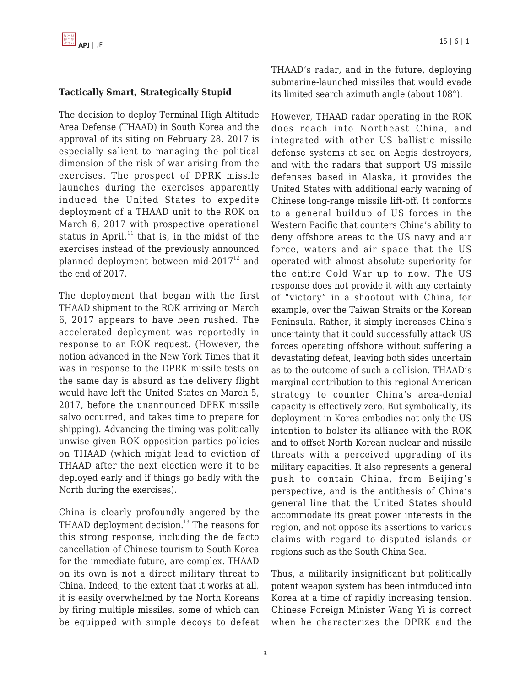#### **Tactically Smart, Strategically Stupid**

The decision to deploy Terminal High Altitude Area Defense (THAAD) in South Korea and the approval of its siting on February 28, 2017 is especially salient to managing the political dimension of the risk of war arising from the exercises. The prospect of DPRK missile launches during the exercises apparently induced the United States to expedite deployment of a THAAD unit to the ROK on March 6, 2017 with prospective operational status in April, $11$  that is, in the midst of the exercises instead of the previously announced planned deployment between mid-2017 $^{12}$  and the end of 2017.

The deployment that began with the first THAAD shipment to the ROK arriving on March 6, 2017 appears to have been rushed. The accelerated deployment was reportedly in response to an ROK request. (However, the notion advanced in the New York Times that it was in response to the DPRK missile tests on the same day is absurd as the delivery flight would have left the United States on March 5, 2017, before the unannounced DPRK missile salvo occurred, and takes time to prepare for shipping). Advancing the timing was politically unwise given ROK opposition parties policies on THAAD (which might lead to eviction of THAAD after the next election were it to be deployed early and if things go badly with the North during the exercises).

China is clearly profoundly angered by the THAAD deployment decision.<sup>13</sup> The reasons for this strong response, including the de facto cancellation of Chinese tourism to South Korea for the immediate future, are complex. THAAD on its own is not a direct military threat to China. Indeed, to the extent that it works at all, it is easily overwhelmed by the North Koreans by firing multiple missiles, some of which can be equipped with simple decoys to defeat THAAD's radar, and in the future, deploying submarine-launched missiles that would evade its limited search azimuth angle (about 108°).

However, THAAD radar operating in the ROK does reach into Northeast China, and integrated with other US ballistic missile defense systems at sea on Aegis destroyers, and with the radars that support US missile defenses based in Alaska, it provides the United States with additional early warning of Chinese long-range missile lift-off. It conforms to a general buildup of US forces in the Western Pacific that counters China's ability to deny offshore areas to the US navy and air force, waters and air space that the US operated with almost absolute superiority for the entire Cold War up to now. The US response does not provide it with any certainty of "victory" in a shootout with China, for example, over the Taiwan Straits or the Korean Peninsula. Rather, it simply increases China's uncertainty that it could successfully attack US forces operating offshore without suffering a devastating defeat, leaving both sides uncertain as to the outcome of such a collision. THAAD's marginal contribution to this regional American strategy to counter China's area-denial capacity is effectively zero. But symbolically, its deployment in Korea embodies not only the US intention to bolster its alliance with the ROK and to offset North Korean nuclear and missile threats with a perceived upgrading of its military capacities. It also represents a general push to contain China, from Beijing's perspective, and is the antithesis of China's general line that the United States should accommodate its great power interests in the region, and not oppose its assertions to various claims with regard to disputed islands or regions such as the South China Sea.

Thus, a militarily insignificant but politically potent weapon system has been introduced into Korea at a time of rapidly increasing tension. Chinese Foreign Minister Wang Yi is correct when he characterizes the DPRK and the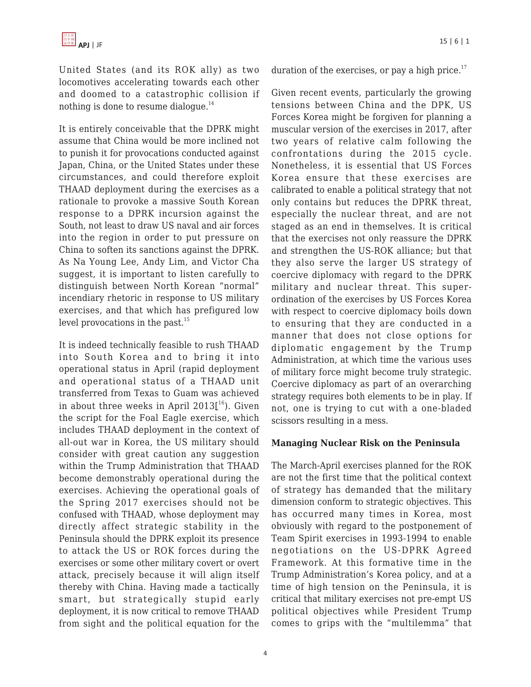United States (and its ROK ally) as two locomotives accelerating towards each other and doomed to a catastrophic collision if nothing is done to resume dialogue. $^{14}$ 

It is entirely conceivable that the DPRK might assume that China would be more inclined not to punish it for provocations conducted against Japan, China, or the United States under these circumstances, and could therefore exploit THAAD deployment during the exercises as a rationale to provoke a massive South Korean response to a DPRK incursion against the South, not least to draw US naval and air forces into the region in order to put pressure on China to soften its sanctions against the DPRK. As Na Young Lee, Andy Lim, and Victor Cha suggest, it is important to listen carefully to distinguish between North Korean "normal" incendiary rhetoric in response to US military exercises, and that which has prefigured low level provocations in the past. $15$ 

It is indeed technically feasible to rush THAAD into South Korea and to bring it into operational status in April (rapid deployment and operational status of a THAAD unit transferred from Texas to Guam was achieved in about three weeks in April 2013[ $^{\rm 16}$ ). Given the script for the Foal Eagle exercise, which includes THAAD deployment in the context of all-out war in Korea, the US military should consider with great caution any suggestion within the Trump Administration that THAAD become demonstrably operational during the exercises. Achieving the operational goals of the Spring 2017 exercises should not be confused with THAAD, whose deployment may directly affect strategic stability in the Peninsula should the DPRK exploit its presence to attack the US or ROK forces during the exercises or some other military covert or overt attack, precisely because it will align itself thereby with China. Having made a tactically smart, but strategically stupid early deployment, it is now critical to remove THAAD from sight and the political equation for the duration of the exercises, or pay a high price. $17$ 

Given recent events, particularly the growing tensions between China and the DPK, US Forces Korea might be forgiven for planning a muscular version of the exercises in 2017, after two years of relative calm following the confrontations during the 2015 cycle. Nonetheless, it is essential that US Forces Korea ensure that these exercises are calibrated to enable a political strategy that not only contains but reduces the DPRK threat, especially the nuclear threat, and are not staged as an end in themselves. It is critical that the exercises not only reassure the DPRK and strengthen the US-ROK alliance; but that they also serve the larger US strategy of coercive diplomacy with regard to the DPRK military and nuclear threat. This superordination of the exercises by US Forces Korea with respect to coercive diplomacy boils down to ensuring that they are conducted in a manner that does not close options for diplomatic engagement by the Trump Administration, at which time the various uses of military force might become truly strategic. Coercive diplomacy as part of an overarching strategy requires both elements to be in play. If not, one is trying to cut with a one-bladed scissors resulting in a mess.

#### **Managing Nuclear Risk on the Peninsula**

The March-April exercises planned for the ROK are not the first time that the political context of strategy has demanded that the military dimension conform to strategic objectives. This has occurred many times in Korea, most obviously with regard to the postponement of Team Spirit exercises in 1993-1994 to enable negotiations on the US-DPRK Agreed Framework. At this formative time in the Trump Administration's Korea policy, and at a time of high tension on the Peninsula, it is critical that military exercises not pre-empt US political objectives while President Trump comes to grips with the "multilemma" that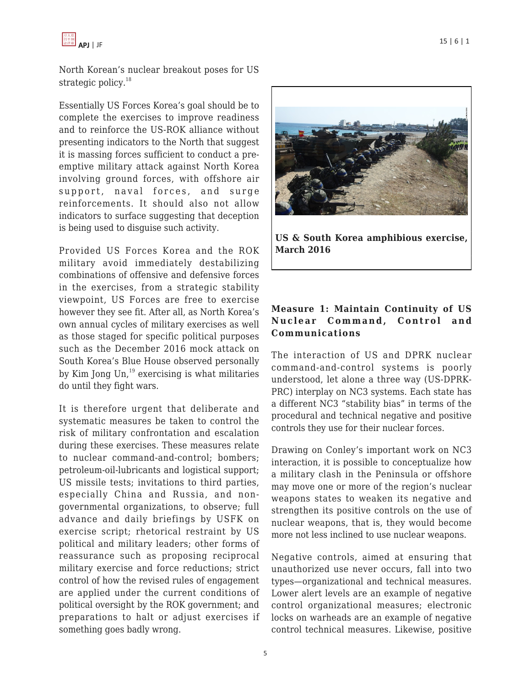

North Korean's nuclear breakout poses for US strategic policy.<sup>18</sup>

Essentially US Forces Korea's goal should be to complete the exercises to improve readiness and to reinforce the US-ROK alliance without presenting indicators to the North that suggest it is massing forces sufficient to conduct a preemptive military attack against North Korea involving ground forces, with offshore air support, naval forces, and surge reinforcements. It should also not allow indicators to surface suggesting that deception is being used to disguise such activity.

Provided US Forces Korea and the ROK military avoid immediately destabilizing combinations of offensive and defensive forces in the exercises, from a strategic stability viewpoint, US Forces are free to exercise however they see fit. After all, as North Korea's own annual cycles of military exercises as well as those staged for specific political purposes such as the December 2016 mock attack on South Korea's Blue House observed personally by Kim Jong  $Un, <sup>19</sup>$  exercising is what militaries do until they fight wars.

It is therefore urgent that deliberate and systematic measures be taken to control the risk of military confrontation and escalation during these exercises. These measures relate to nuclear command-and-control; bombers; petroleum-oil-lubricants and logistical support; US missile tests; invitations to third parties, especially China and Russia, and nongovernmental organizations, to observe; full advance and daily briefings by USFK on exercise script; rhetorical restraint by US political and military leaders; other forms of reassurance such as proposing reciprocal military exercise and force reductions; strict control of how the revised rules of engagement are applied under the current conditions of political oversight by the ROK government; and preparations to halt or adjust exercises if something goes badly wrong.



**US & South Korea amphibious exercise, March 2016**

#### **Measure 1: Maintain Continuity of US Nuclear Command, Control and Communications**

The interaction of US and DPRK nuclear command-and-control systems is poorly understood, let alone a three way (US-DPRK-PRC) interplay on NC3 systems. Each state has a different NC3 "stability bias" in terms of the procedural and technical negative and positive controls they use for their nuclear forces.

Drawing on Conley's important work on NC3 interaction, it is possible to conceptualize how a military clash in the Peninsula or offshore may move one or more of the region's nuclear weapons states to weaken its negative and strengthen its positive controls on the use of nuclear weapons, that is, they would become more not less inclined to use nuclear weapons.

Negative controls, aimed at ensuring that unauthorized use never occurs, fall into two types—organizational and technical measures. Lower alert levels are an example of negative control organizational measures; electronic locks on warheads are an example of negative control technical measures. Likewise, positive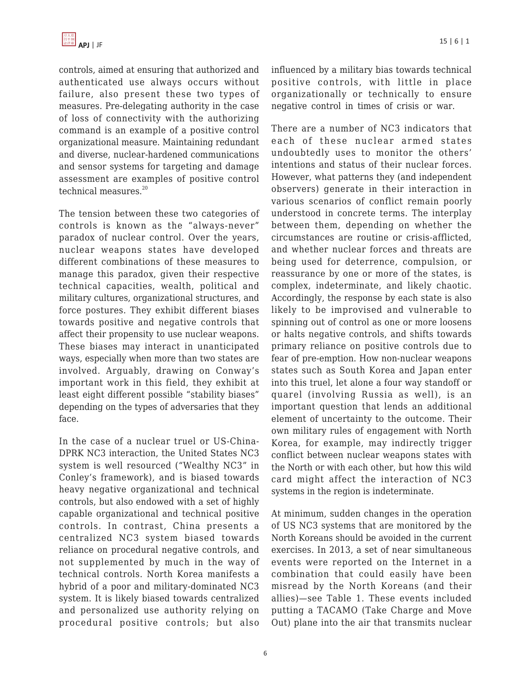

controls, aimed at ensuring that authorized and authenticated use always occurs without failure, also present these two types of measures. Pre-delegating authority in the case of loss of connectivity with the authorizing command is an example of a positive control organizational measure. Maintaining redundant and diverse, nuclear-hardened communications and sensor systems for targeting and damage assessment are examples of positive control technical measures.<sup>20</sup>

The tension between these two categories of controls is known as the "always-never" paradox of nuclear control. Over the years, nuclear weapons states have developed different combinations of these measures to manage this paradox, given their respective technical capacities, wealth, political and military cultures, organizational structures, and force postures. They exhibit different biases towards positive and negative controls that affect their propensity to use nuclear weapons. These biases may interact in unanticipated ways, especially when more than two states are involved. Arguably, drawing on Conway's important work in this field, they exhibit at least eight different possible "stability biases" depending on the types of adversaries that they face.

In the case of a nuclear truel or US-China-DPRK NC3 interaction, the United States NC3 system is well resourced ("Wealthy NC3" in Conley's framework), and is biased towards heavy negative organizational and technical controls, but also endowed with a set of highly capable organizational and technical positive controls. In contrast, China presents a centralized NC3 system biased towards reliance on procedural negative controls, and not supplemented by much in the way of technical controls. North Korea manifests a hybrid of a poor and military-dominated NC3 system. It is likely biased towards centralized and personalized use authority relying on procedural positive controls; but also influenced by a military bias towards technical positive controls, with little in place organizationally or technically to ensure negative control in times of crisis or war.

There are a number of NC3 indicators that each of these nuclear armed states undoubtedly uses to monitor the others' intentions and status of their nuclear forces. However, what patterns they (and independent observers) generate in their interaction in various scenarios of conflict remain poorly understood in concrete terms. The interplay between them, depending on whether the circumstances are routine or crisis-afflicted, and whether nuclear forces and threats are being used for deterrence, compulsion, or reassurance by one or more of the states, is complex, indeterminate, and likely chaotic. Accordingly, the response by each state is also likely to be improvised and vulnerable to spinning out of control as one or more loosens or halts negative controls, and shifts towards primary reliance on positive controls due to fear of pre-emption. How non-nuclear weapons states such as South Korea and Japan enter into this truel, let alone a four way standoff or quarel (involving Russia as well), is an important question that lends an additional element of uncertainty to the outcome. Their own military rules of engagement with North Korea, for example, may indirectly trigger conflict between nuclear weapons states with the North or with each other, but how this wild card might affect the interaction of NC3 systems in the region is indeterminate.

At minimum, sudden changes in the operation of US NC3 systems that are monitored by the North Koreans should be avoided in the current exercises. In 2013, a set of near simultaneous events were reported on the Internet in a combination that could easily have been misread by the North Koreans (and their allies)—see Table 1. These events included putting a TACAMO (Take Charge and Move Out) plane into the air that transmits nuclear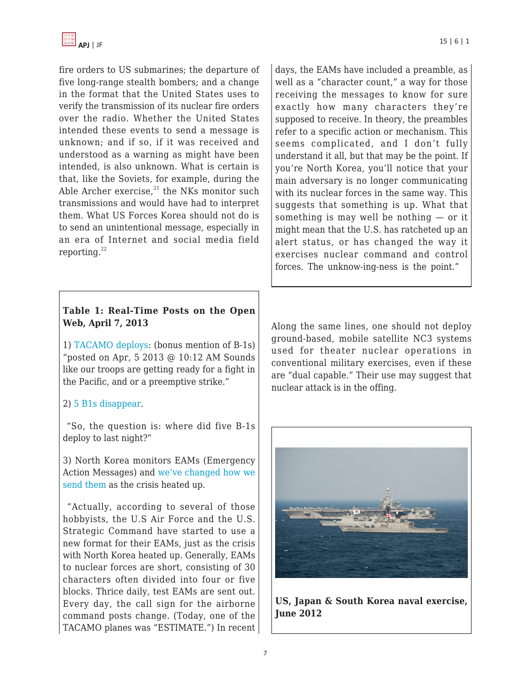

fire orders to US submarines; the departure of five long-range stealth bombers; and a change in the format that the United States uses to verify the transmission of its nuclear fire orders over the radio. Whether the United States intended these events to send a message is unknown; and if so, if it was received and understood as a warning as might have been intended, is also unknown. What is certain is that, like the Soviets, for example, during the Able Archer exercise, $21$  the NKs monitor such transmissions and would have had to interpret them. What US Forces Korea should not do is to send an unintentional message, especially in an era of Internet and social media field reporting. $^{22}$ 

#### **Table 1: Real-Time Posts on the Open Web, April 7, 2013**

1) [TACAMO deploys](http://nautilus.us4.list-manage.com/track/click?u=0de7e0e84dc3aff619f936a70&id=f48afee804&e=1bee2c9c27): (bonus mention of B-1s) "posted on Apr, 5 2013 @ 10:12 AM Sounds like our troops are getting ready for a fight in the Pacific, and or a preemptive strike."

#### 2) [5 B1s disappear](http://nautilus.us4.list-manage2.com/track/click?u=0de7e0e84dc3aff619f936a70&id=398c7b2e1f&e=1bee2c9c27).

 "So, the question is: where did five B-1s deploy to last night?"

3) North Korea monitors EAMs (Emergency Action Messages) and [we've changed how we](http://nautilus.us4.list-manage.com/track/click?u=0de7e0e84dc3aff619f936a70&id=f6562ea336&e=1bee2c9c27) [send them](http://nautilus.us4.list-manage.com/track/click?u=0de7e0e84dc3aff619f936a70&id=f6562ea336&e=1bee2c9c27) as the crisis heated up.

 "Actually, according to several of those hobbyists, the U.S Air Force and the U.S. Strategic Command have started to use a new format for their EAMs, just as the crisis with North Korea heated up. Generally, EAMs to nuclear forces are short, consisting of 30 characters often divided into four or five blocks. Thrice daily, test EAMs are sent out. Every day, the call sign for the airborne command posts change. (Today, one of the TACAMO planes was "ESTIMATE.") In recent days, the EAMs have included a preamble, as well as a "character count," a way for those receiving the messages to know for sure exactly how many characters they're supposed to receive. In theory, the preambles refer to a specific action or mechanism. This seems complicated, and I don't fully understand it all, but that may be the point. If you're North Korea, you'll notice that your main adversary is no longer communicating with its nuclear forces in the same way. This suggests that something is up. What that something is may well be nothing — or it might mean that the U.S. has ratcheted up an alert status, or has changed the way it exercises nuclear command and control forces. The unknow-ing-ness is the point."

Along the same lines, one should not deploy ground-based, mobile satellite NC3 systems used for theater nuclear operations in conventional military exercises, even if these are "dual capable." Their use may suggest that nuclear attack is in the offing.



**US, Japan & South Korea naval exercise, June 2012**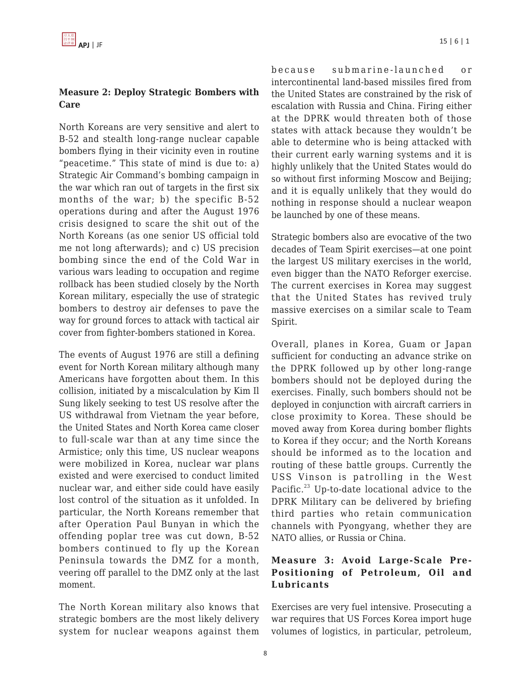#### **Measure 2: Deploy Strategic Bombers with Care**

North Koreans are very sensitive and alert to B-52 and stealth long-range nuclear capable bombers flying in their vicinity even in routine "peacetime." This state of mind is due to: a) Strategic Air Command's bombing campaign in the war which ran out of targets in the first six months of the war; b) the specific B-52 operations during and after the August 1976 crisis designed to scare the shit out of the North Koreans (as one senior US official told me not long afterwards); and c) US precision bombing since the end of the Cold War in various wars leading to occupation and regime rollback has been studied closely by the North Korean military, especially the use of strategic bombers to destroy air defenses to pave the way for ground forces to attack with tactical air cover from fighter-bombers stationed in Korea.

The events of August 1976 are still a defining event for North Korean military although many Americans have forgotten about them. In this collision, initiated by a miscalculation by Kim Il Sung likely seeking to test US resolve after the US withdrawal from Vietnam the year before, the United States and North Korea came closer to full-scale war than at any time since the Armistice; only this time, US nuclear weapons were mobilized in Korea, nuclear war plans existed and were exercised to conduct limited nuclear war, and either side could have easily lost control of the situation as it unfolded. In particular, the North Koreans remember that after Operation Paul Bunyan in which the offending poplar tree was cut down, B-52 bombers continued to fly up the Korean Peninsula towards the DMZ for a month, veering off parallel to the DMZ only at the last moment.

The North Korean military also knows that strategic bombers are the most likely delivery system for nuclear weapons against them because submarine-launched or intercontinental land-based missiles fired from the United States are constrained by the risk of escalation with Russia and China. Firing either at the DPRK would threaten both of those states with attack because they wouldn't be able to determine who is being attacked with their current early warning systems and it is highly unlikely that the United States would do so without first informing Moscow and Beijing; and it is equally unlikely that they would do nothing in response should a nuclear weapon be launched by one of these means.

Strategic bombers also are evocative of the two decades of Team Spirit exercises—at one point the largest US military exercises in the world, even bigger than the NATO Reforger exercise. The current exercises in Korea may suggest that the United States has revived truly massive exercises on a similar scale to Team Spirit.

Overall, planes in Korea, Guam or Japan sufficient for conducting an advance strike on the DPRK followed up by other long-range bombers should not be deployed during the exercises. Finally, such bombers should not be deployed in conjunction with aircraft carriers in close proximity to Korea. These should be moved away from Korea during bomber flights to Korea if they occur; and the North Koreans should be informed as to the location and routing of these battle groups. Currently the USS Vinson is patrolling in the West Pacific.<sup>23</sup> Up-to-date locational advice to the DPRK Military can be delivered by briefing third parties who retain communication channels with Pyongyang, whether they are NATO allies, or Russia or China.

## **Measure 3: Avoid Large-Scale Pre-Positioning of Petroleum, Oil and Lubricants**

Exercises are very fuel intensive. Prosecuting a war requires that US Forces Korea import huge volumes of logistics, in particular, petroleum,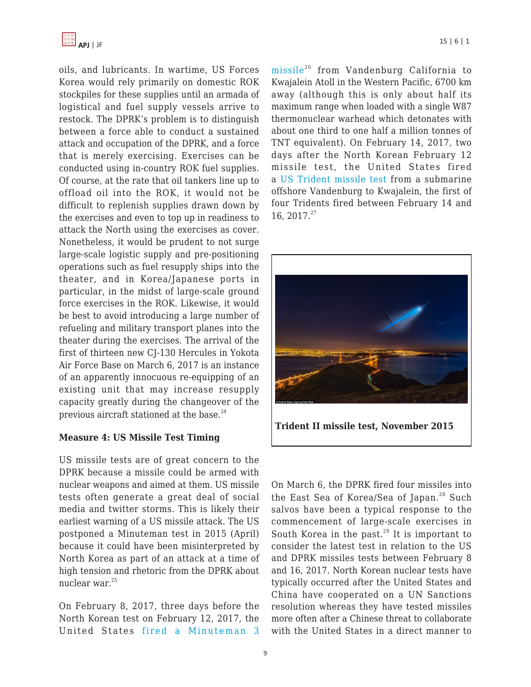

oils, and lubricants. In wartime, US Forces Korea would rely primarily on domestic ROK stockpiles for these supplies until an armada of logistical and fuel supply vessels arrive to restock. The DPRK's problem is to distinguish between a force able to conduct a sustained attack and occupation of the DPRK, and a force that is merely exercising. Exercises can be conducted using in-country ROK fuel supplies. Of course, at the rate that oil tankers line up to offload oil into the ROK, it would not be difficult to replenish supplies drawn down by the exercises and even to top up in readiness to attack the North using the exercises as cover. Nonetheless, it would be prudent to not surge large-scale logistic supply and pre-positioning operations such as fuel resupply ships into the theater, and in Korea/Japanese ports in particular, in the midst of large-scale ground force exercises in the ROK. Likewise, it would be best to avoid introducing a large number of refueling and military transport planes into the theater during the exercises. The arrival of the first of thirteen new CJ-130 Hercules in Yokota Air Force Base on March 6, 2017 is an instance of an apparently innocuous re-equipping of an existing unit that may increase resupply capacity greatly during the changeover of the previous aircraft stationed at the base. $^{24}$ 

#### **Measure 4: US Missile Test Timing**

US missile tests are of great concern to the DPRK because a missile could be armed with nuclear weapons and aimed at them. US missile tests often generate a great deal of social media and twitter storms. This is likely their earliest warning of a US missile attack. The US postponed a Minuteman test in 2015 (April) because it could have been misinterpreted by North Korea as part of an attack at a time of high tension and rhetoric from the DPRK about nuclear war.<sup>25</sup>

On February 8, 2017, three days before the North Korean test on February 12, 2017, the United States [fired a Minuteman 3](http://nautilus.us4.list-manage.com/track/click?u=0de7e0e84dc3aff619f936a70&id=2655c47f79&e=1bee2c9c27) [missile](http://nautilus.us4.list-manage.com/track/click?u=0de7e0e84dc3aff619f936a70&id=2655c47f79&e=1bee2c9c27)<sup>26</sup> from Vandenburg California to Kwajalein Atoll in the Western Pacific, 6700 km away (although this is only about half its maximum range when loaded with a single W87 thermonuclear warhead which detonates with about one third to one half a million tonnes of TNT equivalent). On February 14, 2017, two days after the North Korean February 12 missile test, the United States fired a [US Trident missile test](http://nautilus.us4.list-manage.com/track/click?u=0de7e0e84dc3aff619f936a70&id=dbf61e1837&e=1bee2c9c27) from a submarine offshore Vandenburg to Kwajalein, the first of four Tridents fired between February 14 and 16, 2017.<sup>27</sup>



On March 6, the DPRK fired four missiles into the East Sea of Korea/Sea of Japan.<sup>28</sup> Such salvos have been a typical response to the commencement of large-scale exercises in South Korea in the past. $29$  It is important to consider the latest test in relation to the US and DPRK missiles tests between February 8 and 16, 2017. North Korean nuclear tests have typically occurred after the United States and China have cooperated on a UN Sanctions resolution whereas they have tested missiles more often after a Chinese threat to collaborate with the United States in a direct manner to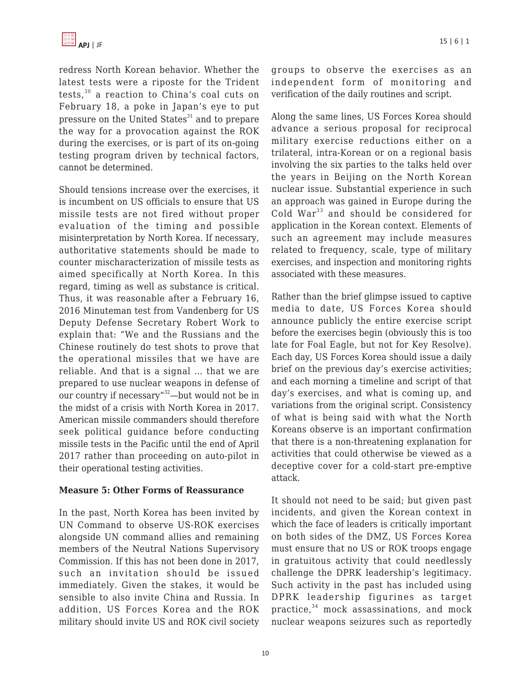redress North Korean behavior. Whether the latest tests were a riposte for the Trident tests,<sup>30</sup> a reaction to China's coal cuts on February 18, a poke in Japan's eye to put pressure on the United States $31$  and to prepare the way for a provocation against the ROK during the exercises, or is part of its on-going testing program driven by technical factors, cannot be determined.

Should tensions increase over the exercises, it is incumbent on US officials to ensure that US missile tests are not fired without proper evaluation of the timing and possible misinterpretation by North Korea. If necessary, authoritative statements should be made to counter mischaracterization of missile tests as aimed specifically at North Korea. In this regard, timing as well as substance is critical. Thus, it was reasonable after a February 16, 2016 Minuteman test from Vandenberg for US Deputy Defense Secretary Robert Work to explain that: "We and the Russians and the Chinese routinely do test shots to prove that the operational missiles that we have are reliable. And that is a signal … that we are prepared to use nuclear weapons in defense of our country if necessary"<sup>32</sup>—but would not be in the midst of a crisis with North Korea in 2017. American missile commanders should therefore seek political guidance before conducting missile tests in the Pacific until the end of April 2017 rather than proceeding on auto-pilot in their operational testing activities.

#### **Measure 5: Other Forms of Reassurance**

In the past, North Korea has been invited by UN Command to observe US-ROK exercises alongside UN command allies and remaining members of the Neutral Nations Supervisory Commission. If this has not been done in 2017, such an invitation should be issued immediately. Given the stakes, it would be sensible to also invite China and Russia. In addition, US Forces Korea and the ROK military should invite US and ROK civil society groups to observe the exercises as an independent form of monitoring and verification of the daily routines and script.

Along the same lines, US Forces Korea should advance a serious proposal for reciprocal military exercise reductions either on a trilateral, intra-Korean or on a regional basis involving the six parties to the talks held over the years in Beijing on the North Korean nuclear issue. Substantial experience in such an approach was gained in Europe during the Cold War<sup>33</sup> and should be considered for application in the Korean context. Elements of such an agreement may include measures related to frequency, scale, type of military exercises, and inspection and monitoring rights associated with these measures.

Rather than the brief glimpse issued to captive media to date, US Forces Korea should announce publicly the entire exercise script before the exercises begin (obviously this is too late for Foal Eagle, but not for Key Resolve). Each day, US Forces Korea should issue a daily brief on the previous day's exercise activities; and each morning a timeline and script of that day's exercises, and what is coming up, and variations from the original script. Consistency of what is being said with what the North Koreans observe is an important confirmation that there is a non-threatening explanation for activities that could otherwise be viewed as a deceptive cover for a cold-start pre-emptive attack.

It should not need to be said; but given past incidents, and given the Korean context in which the face of leaders is critically important on both sides of the DMZ, US Forces Korea must ensure that no US or ROK troops engage in gratuitous activity that could needlessly challenge the DPRK leadership's legitimacy. Such activity in the past has included using DPRK leadership figurines as target practice,<sup>34</sup> mock assassinations, and mock nuclear weapons seizures such as reportedly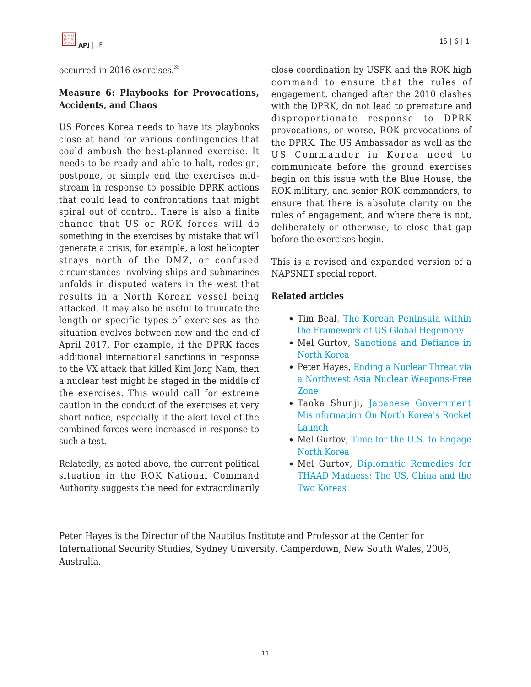

occurred in 2016 exercises.<sup>35</sup>

#### **Measure 6: Playbooks for Provocations, Accidents, and Chaos**

US Forces Korea needs to have its playbooks close at hand for various contingencies that could ambush the best-planned exercise. It needs to be ready and able to halt, redesign, postpone, or simply end the exercises midstream in response to possible DPRK actions that could lead to confrontations that might spiral out of control. There is also a finite chance that US or ROK forces will do something in the exercises by mistake that will generate a crisis, for example, a lost helicopter strays north of the DMZ, or confused circumstances involving ships and submarines unfolds in disputed waters in the west that results in a North Korean vessel being attacked. It may also be useful to truncate the length or specific types of exercises as the situation evolves between now and the end of April 2017. For example, if the DPRK faces additional international sanctions in response to the VX attack that killed Kim Jong Nam, then a nuclear test might be staged in the middle of the exercises. This would call for extreme caution in the conduct of the exercises at very short notice, especially if the alert level of the combined forces were increased in response to such a test.

Relatedly, as noted above, the current political situation in the ROK National Command Authority suggests the need for extraordinarily

close coordination by USFK and the ROK high command to ensure that the rules of engagement, changed after the 2010 clashes with the DPRK, do not lead to premature and disproportionate response to DPRK provocations, or worse, ROK provocations of the DPRK. The US Ambassador as well as the US Commander in Korea need to communicate before the ground exercises begin on this issue with the Blue House, the ROK military, and senior ROK commanders, to ensure that there is absolute clarity on the rules of engagement, and where there is not, deliberately or otherwise, to close that gap before the exercises begin.

This is a revised and expanded version of a NAPSNET special report.

#### **Related articles**

- Tim Beal, [The Korean Peninsula within](https://apjjf.org/2016/22/Beal.html) [the Framework of US Global Hegemony](https://apjjf.org/2016/22/Beal.html)
- Mel Gurtov, [Sanctions and Defiance in](https://apjjf.org/2016/09/Gurtov.html) [North Korea](https://apjjf.org/2016/09/Gurtov.html)
- Peter Hayes, [Ending a Nuclear Threat via](https://apjjf.org/2015/13/3/Peter-Hayes/4253.html) [a Northwest Asia Nuclear Weapons-Free](https://apjjf.org/2015/13/3/Peter-Hayes/4253.html) [Zone](https://apjjf.org/2015/13/3/Peter-Hayes/4253.html)
- Taoka Shunji, [Japanese Government](https://apjjf.org/2016/08/Taoka.html) [Misinformation On North Korea's Rocket](https://apjjf.org/2016/08/Taoka.html) [Launch](https://apjjf.org/2016/08/Taoka.html)
- Mel Gurtov, [Time for the U.S. to Engage](https://apjjf.org/2014/11/33/Mel-Gurtov/4166/article.html) [North Korea](https://apjjf.org/2014/11/33/Mel-Gurtov/4166/article.html)
- Mel Gurtov, [Diplomatic Remedies for](https://apjjf.org/2017/06/Gurtov.html) [THAAD Madness: The US, China and the](https://apjjf.org/2017/06/Gurtov.html) [Two Koreas](https://apjjf.org/2017/06/Gurtov.html)

Peter Hayes is the Director of the Nautilus Institute and Professor at the Center for International Security Studies, Sydney University, Camperdown, New South Wales, 2006, Australia.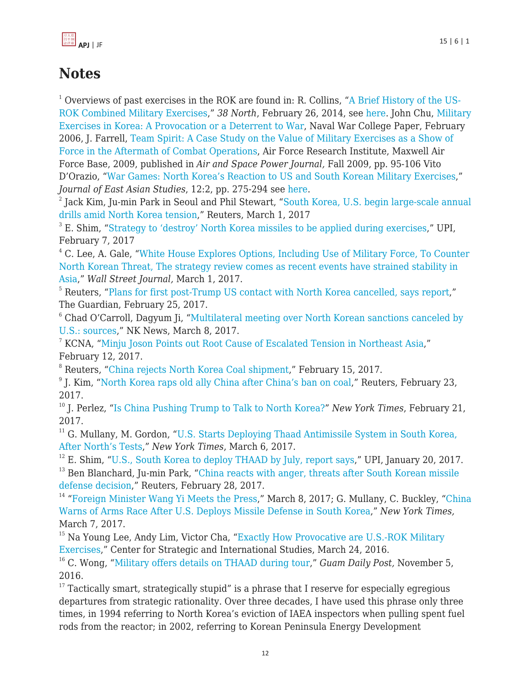

# **Notes**

<sup>1</sup> Overviews of past exercises in the ROK are found in: R. Collins, "[A Brief History of the US-](http://nautilus.us4.list-manage.com/track/click?u=0de7e0e84dc3aff619f936a70&id=84d6c542c3&e=1bee2c9c27)[ROK Combined Military Exercises](http://nautilus.us4.list-manage.com/track/click?u=0de7e0e84dc3aff619f936a70&id=84d6c542c3&e=1bee2c9c27)," *38 North*, February 26, 2014, see [here.](http://nautilus.us4.list-manage.com/track/click?u=0de7e0e84dc3aff619f936a70&id=bbd2a2380c&e=1bee2c9c27) John Chu, [Military](http://www.dtic.mil/dtic/tr/fulltext/u2/a463339.pdf) [Exercises in Korea: A Provocation or a Deterrent to War,](http://www.dtic.mil/dtic/tr/fulltext/u2/a463339.pdf) Naval War College Paper, February 2006, J. Farrell, [Team Spirit: A Case Study on the Value of Military Exercises as a Show of](http://www.au.af.mil/au/afri/aspj/airchronicles/apj/apj09/fal09/farrell.htm) [Force in the Aftermath of Combat Operations,](http://www.au.af.mil/au/afri/aspj/airchronicles/apj/apj09/fal09/farrell.htm) Air Force Research Institute, Maxwell Air Force Base, 2009, published in *Air and Space Power Journal,* Fall 2009, pp. 95-106 Vito D'Orazio, "[War Games: North Korea's Reaction to US and South Korean Military Exercises,](http://nautilus.us4.list-manage2.com/track/click?u=0de7e0e84dc3aff619f936a70&id=a3a1b39ad7&e=1bee2c9c27)" *Journal of East Asian Studies*, 12:2, pp. 275-294 see [here.](http://www.vitodorazio.com/uploads/1/3/0/2/13026085/dorazio2012_jeas_proof.pdf)

 $^{\rm 2}$  Jack Kim, Ju-min Park in Seoul and Phil Stewart, "[South Korea, U.S. begin large-scale annual](http://www.reuters.com/article/us-southkorea-usa-drills-idUSKBN1683HQ) [drills amid North Korea tension](http://www.reuters.com/article/us-southkorea-usa-drills-idUSKBN1683HQ)," Reuters, March 1, 2017

 $3$  E. Shim, ["Strategy to 'destroy' North Korea missiles to be applied during exercises](http://www.upi.com/Top_News/World-News/2017/02/07/Strategy-to-destroy-North-Korea-missiles-to-be-applied-during-exercises/1551486525158/)," UPI, February 7, 2017

<sup>4</sup> C. Lee, A. Gale, "[White House Explores Options, Including Use of Military Force, To Counter](https://www.wsj.com/articles/white-house-explores-options-including-use-of-military-force-to-counter-north-korean-threat-1488407444) [North Korean Threat, The strategy review comes as recent events have strained stability in](https://www.wsj.com/articles/white-house-explores-options-including-use-of-military-force-to-counter-north-korean-threat-1488407444) [Asia](https://www.wsj.com/articles/white-house-explores-options-including-use-of-military-force-to-counter-north-korean-threat-1488407444)," *Wall Street Journal,* March 1, 2017.

<sup>5</sup> Reuters, ["Plans for first post-Trump US contact with North Korea cancelled, says report](https://www.theguardian.com/world/2017/feb/25/plans-for-first-post-trump-us-contact-with-north-korea-cancelled-says-report)," The Guardian, February 25, 2017.

<sup>6</sup> Chad O'Carroll, Dagyum Ji, "[Multilateral meeting over North Korean sanctions canceled by](https://www.nknews.org/2017/03/multilateral-meeting-over-north-korean-sanctions-cancelled-by-u-s-sources/?c=1488967491947) [U.S.: sources,](https://www.nknews.org/2017/03/multilateral-meeting-over-north-korean-sanctions-cancelled-by-u-s-sources/?c=1488967491947)" NK News, March 8, 2017.

<sup>7</sup> KCNA, "[Minju Joson Points out Root Cause of Escalated Tension in Northeast Asia,](https://nkaggregator.com/2017/02/12/minju-joson-points-out-root-cause-of-escalated-tension-in-northeast-asia/)" February 12, 2017.

<sup>8</sup> Reuters, ["China rejects North Korea Coal shipment](http://www.reuters.com/article/china-northkorea-coal-idUSL4N1G03L2)," February 15, 2017.

9 J. Kim, ["North Korea raps old ally China after China's ban on coal](http://in.reuters.com/article/northkorea-china-idINKBN1621FW)," Reuters, February 23, 2017.

<sup>10</sup> J. Perlez, ["Is China Pushing Trump to Talk to North Korea?"](https://www.nytimes.com/2017/02/21/world/asia/china-north-korea-trump-talks.html) *New York Times*, February 21, 2017.

<sup>11</sup> G. Mullany, M. Gordon, ["U.S. Starts Deploying Thaad Antimissile System in South Korea,](https://www.nytimes.com/2017/03/06/world/asia/north-korea-thaad-missile-defense-us-china.html?emc=edit_th_20170307&nl=todaysheadlines&nlid=57976564&_r=0) [After North's Tests](https://www.nytimes.com/2017/03/06/world/asia/north-korea-thaad-missile-defense-us-china.html?emc=edit_th_20170307&nl=todaysheadlines&nlid=57976564&_r=0)," *New York Times*, March 6, 2017.

 $12$  E. Shim, "[U.S., South Korea to deploy THAAD by July, report says,](http://www.upi.com/Top_News/World-News/2017/01/20/US-South-Korea-to-deploy-THAAD-by-July-report-says/8251484921434/)" UPI, January 20, 2017. <sup>13</sup> Ben Blanchard, Ju-min Park, ["China reacts with anger, threats after South Korean missile](http://www.reuters.com/article/us-southkorea-usa-thaad-china-idUSKBN16709W) [defense decision,](http://www.reuters.com/article/us-southkorea-usa-thaad-china-idUSKBN16709W)" Reuters, February 28, 2017.

<sup>14</sup> ["Foreign Minister Wang Yi Meets the Press,](http://www.fmprc.gov.cn/mfa_eng/zxxx_662805/t1444204.shtml)" March 8, 2017; G. Mullany, C. Buckley, ["China](https://www.nytimes.com/2017/03/07/world/asia/thaad-missile-defense-us-south-korea-china.html?hp&action=click&pgtype=Homepage&clickSource=story-heading&module=first-column-region®ion=top-news&WT.nav=top-news) [Warns of Arms Race After U.S. Deploys Missile Defense in South Korea](https://www.nytimes.com/2017/03/07/world/asia/thaad-missile-defense-us-south-korea-china.html?hp&action=click&pgtype=Homepage&clickSource=story-heading&module=first-column-region®ion=top-news&WT.nav=top-news)," *New York Times,* March 7, 2017.

<sup>15</sup> Na Young Lee, Andy Lim, Victor Cha, "[Exactly How Provocative are U.S.-ROK Military](https://www.csis.org/analysis/exactly-how-provocative-are-us-rok-military-exercises) [Exercises](https://www.csis.org/analysis/exactly-how-provocative-are-us-rok-military-exercises)," Center for Strategic and International Studies, March 24, 2016.

<sup>16</sup> C. Wong, ["Military offers details on THAAD during tour](https://www.postguam.com/news/local/military-offers-details-on-thaad-during-tour/article_20f4832c-a251-11e6-8395-8fadfdf7bd41.html)," *Guam Daily Post*, November 5, 2016.

 $17$  Tactically smart, strategically stupid" is a phrase that I reserve for especially egregious departures from strategic rationality. Over three decades, I have used this phrase only three times, in 1994 referring to North Korea's eviction of IAEA inspectors when pulling spent fuel rods from the reactor; in 2002, referring to Korean Peninsula Energy Development